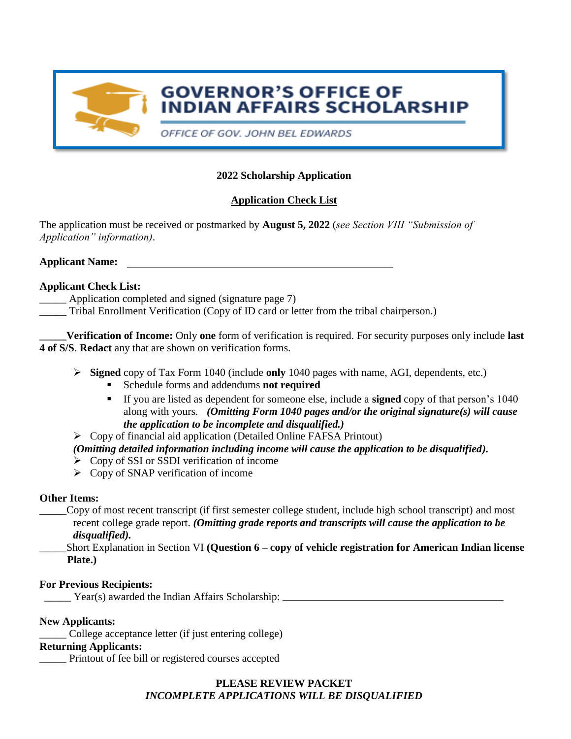

# **GOVERNOR'S OFFICE OF INDIAN AFFAIRS SCHOLARSHIP**

OFFICE OF GOV. JOHN BEL EDWARDS

# **2022 Scholarship Application**

# **Application Check List**

The application must be received or postmarked by **August 5, 2022** (*see Section VIII "Submission of Application" information)*.

**Applicant Name:**

### **Applicant Check List:**

- Application completed and signed (signature page 7)
- \_\_\_\_\_ Tribal Enrollment Verification (Copy of ID card or letter from the tribal chairperson.)

**\_\_\_\_\_Verification of Income:** Only **one** form of verification is required. For security purposes only include **last 4 of S/S**. **Redact** any that are shown on verification forms.

- **Signed** copy of Tax Form 1040 (include **only** 1040 pages with name, AGI, dependents, etc.)
	- Schedule forms and addendums **not required**
	- If you are listed as dependent for someone else, include a **signed** copy of that person's 1040 along with yours. *(Omitting Form 1040 pages and/or the original signature(s) will cause the application to be incomplete and disqualified.)*
- Copy of financial aid application (Detailed Online FAFSA Printout)

# *(Omitting detailed information including income will cause the application to be disqualified).*

- $\triangleright$  Copy of SSI or SSDI verification of income
- $\triangleright$  Copy of SNAP verification of income

# **Other Items:**

- \_\_\_\_\_Copy of most recent transcript (if first semester college student, include high school transcript) and most recent college grade report. *(Omitting grade reports and transcripts will cause the application to be disqualified).*
	- \_\_\_\_\_Short Explanation in Section VI **(Question 6 – copy of vehicle registration for American Indian license Plate.)**

# **For Previous Recipients:**

\_\_\_\_\_ Year(s) awarded the Indian Affairs Scholarship:

# **New Applicants:**

College acceptance letter (if just entering college)

### **Returning Applicants:**

**\_\_\_\_\_** Printout of fee bill or registered courses accepted

# **PLEASE REVIEW PACKET**  *INCOMPLETE APPLICATIONS WILL BE DISQUALIFIED*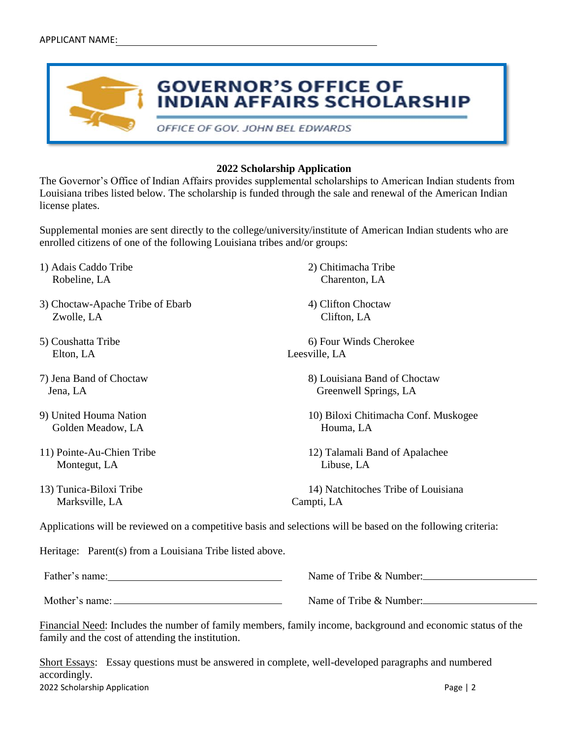

#### **2022 Scholarship Application**

The Governor's Office of Indian Affairs provides supplemental scholarships to American Indian students from Louisiana tribes listed below. The scholarship is funded through the sale and renewal of the American Indian license plates.

Supplemental monies are sent directly to the college/university/institute of American Indian students who are enrolled citizens of one of the following Louisiana tribes and/or groups:

- 1) Adais Caddo Tribe 2) Chitimacha Tribe Robeline, LA Charenton, LA
- 3) Choctaw-Apache Tribe of Ebarb 4) Clifton Choctaw Zwolle, LA Clifton, LA
- Elton, LA Leesville, LA
- 
- Golden Meadow, LA Houma, LA
- Montegut, LA Libuse, LA
- Marksville, LA Campti, LA

- 
- 5) Coushatta Tribe 6) Four Winds Cherokee

7) Jena Band of Choctaw 8) Louisiana Band of Choctaw Jena, LA Greenwell Springs, LA

9) United Houma Nation 10) Biloxi Chitimacha Conf. Muskogee

11) Pointe-Au-Chien Tribe 12) Talamali Band of Apalachee

13) Tunica-Biloxi Tribe 14) Natchitoches Tribe of Louisiana

Applications will be reviewed on a competitive basis and selections will be based on the following criteria:

Heritage: Parent(s) from a Louisiana Tribe listed above.

Father's name: Name of Tribe & Number:

Mother's name: Name of Tribe & Number:

Financial Need: Includes the number of family members, family income, background and economic status of the family and the cost of attending the institution.

2022 Scholarship Application **Page | 2** Short Essays: Essay questions must be answered in complete, well-developed paragraphs and numbered accordingly.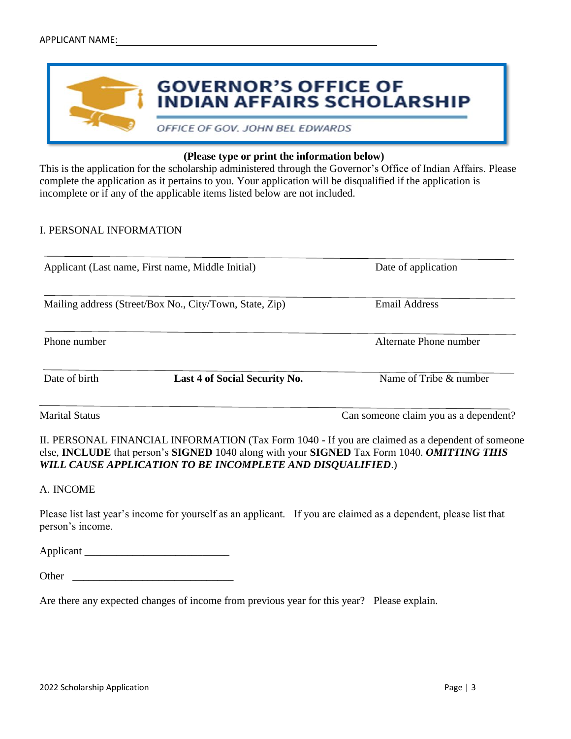

#### **(Please type or print the information below)**

This is the application for the scholarship administered through the Governor's Office of Indian Affairs. Please complete the application as it pertains to you. Your application will be disqualified if the application is incomplete or if any of the applicable items listed below are not included.

#### I. PERSONAL INFORMATION

| Applicant (Last name, First name, Middle Initial)<br>Mailing address (Street/Box No., City/Town, State, Zip) |                               | Date of application<br><b>Email Address</b>                                                                                                                                                                                 |  |
|--------------------------------------------------------------------------------------------------------------|-------------------------------|-----------------------------------------------------------------------------------------------------------------------------------------------------------------------------------------------------------------------------|--|
|                                                                                                              |                               |                                                                                                                                                                                                                             |  |
| Date of birth                                                                                                | Last 4 of Social Security No. | Name of Tribe & number                                                                                                                                                                                                      |  |
| <b>Marital Status</b>                                                                                        |                               | Can someone claim you as a dependent?                                                                                                                                                                                       |  |
|                                                                                                              |                               | II. PERSONAL FINANCIAL INFORMATION (Tax Form 1040 - If you are claimed as a dependent of someone<br>else, <b>INCLUDE</b> that person's <b>SIGNED</b> 1040 along with your <b>SIGNED</b> Tax Form 1040. <i>OMITTING THIS</i> |  |

#### A. INCOME

Please list last year's income for yourself as an applicant. If you are claimed as a dependent, please list that person's income.

Applicant \_\_\_\_\_\_\_\_\_\_\_\_\_\_\_\_\_\_\_\_\_\_\_\_\_\_\_

| Other |
|-------|
|-------|

Are there any expected changes of income from previous year for this year? Please explain.

*WILL CAUSE APPLICATION TO BE INCOMPLETE AND DISQUALIFIED*.)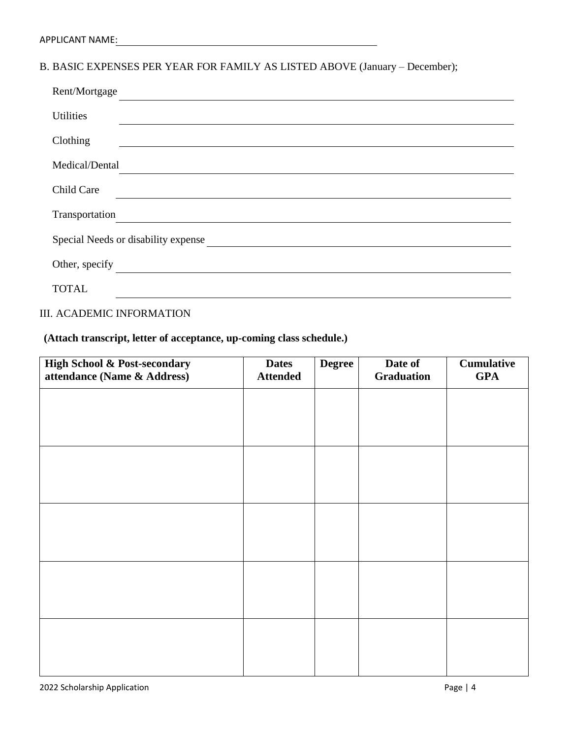# B. BASIC EXPENSES PER YEAR FOR FAMILY AS LISTED ABOVE (January – December);

| Rent/Mortgage                                                           |
|-------------------------------------------------------------------------|
| <b>Utilities</b>                                                        |
| Clothing                                                                |
| Medical/Dental                                                          |
| Child Care                                                              |
| Transportation                                                          |
| Special Needs or disability expense Special Needs or disability expense |
| Other, specify                                                          |
| <b>TOTAL</b>                                                            |

### III. ACADEMIC INFORMATION

**(Attach transcript, letter of acceptance, up-coming class schedule.)**

| High School & Post-secondary<br>attendance (Name & Address) | <b>Dates</b><br><b>Attended</b> | <b>Degree</b> | Date of<br><b>Graduation</b> | <b>Cumulative</b><br><b>GPA</b> |
|-------------------------------------------------------------|---------------------------------|---------------|------------------------------|---------------------------------|
|                                                             |                                 |               |                              |                                 |
|                                                             |                                 |               |                              |                                 |
|                                                             |                                 |               |                              |                                 |
|                                                             |                                 |               |                              |                                 |
|                                                             |                                 |               |                              |                                 |
|                                                             |                                 |               |                              |                                 |
|                                                             |                                 |               |                              |                                 |
|                                                             |                                 |               |                              |                                 |
|                                                             |                                 |               |                              |                                 |
|                                                             |                                 |               |                              |                                 |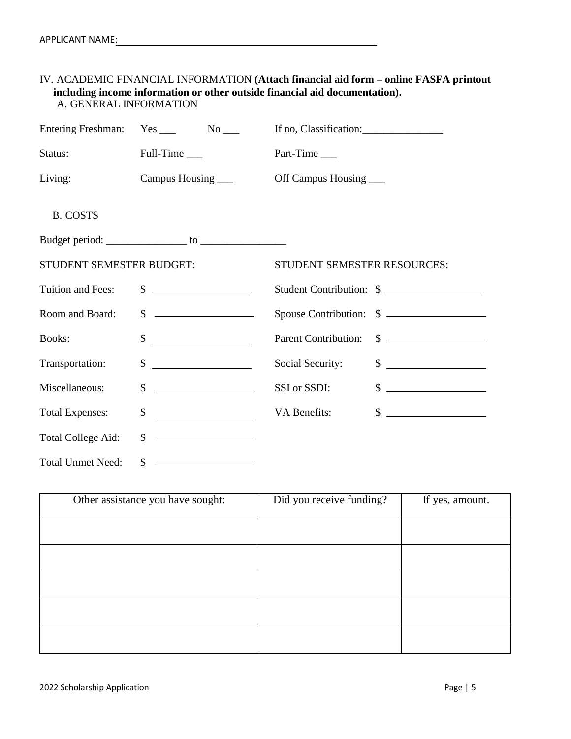#### IV. ACADEMIC FINANCIAL INFORMATION **(Attach financial aid form – online FASFA printout including income information or other outside financial aid documentation).** A. GENERAL INFORMATION

| <b>Entering Freshman:</b> | $Yes \_ No \_$                                                                                                                                                                                                                                                                                                      | If no, Classification:                                                                                                                                                                                                                                                                                                                  |
|---------------------------|---------------------------------------------------------------------------------------------------------------------------------------------------------------------------------------------------------------------------------------------------------------------------------------------------------------------|-----------------------------------------------------------------------------------------------------------------------------------------------------------------------------------------------------------------------------------------------------------------------------------------------------------------------------------------|
| Status:                   | Full-Time                                                                                                                                                                                                                                                                                                           | Part-Time                                                                                                                                                                                                                                                                                                                               |
| Living:                   | Campus Housing                                                                                                                                                                                                                                                                                                      | Off Campus Housing                                                                                                                                                                                                                                                                                                                      |
| <b>B. COSTS</b>           |                                                                                                                                                                                                                                                                                                                     |                                                                                                                                                                                                                                                                                                                                         |
|                           |                                                                                                                                                                                                                                                                                                                     |                                                                                                                                                                                                                                                                                                                                         |
| STUDENT SEMESTER BUDGET:  |                                                                                                                                                                                                                                                                                                                     | STUDENT SEMESTER RESOURCES:                                                                                                                                                                                                                                                                                                             |
| Tuition and Fees:         | $\frac{1}{2}$ $\frac{1}{2}$ $\frac{1}{2}$ $\frac{1}{2}$ $\frac{1}{2}$ $\frac{1}{2}$ $\frac{1}{2}$ $\frac{1}{2}$ $\frac{1}{2}$ $\frac{1}{2}$ $\frac{1}{2}$ $\frac{1}{2}$ $\frac{1}{2}$ $\frac{1}{2}$ $\frac{1}{2}$ $\frac{1}{2}$ $\frac{1}{2}$ $\frac{1}{2}$ $\frac{1}{2}$ $\frac{1}{2}$ $\frac{1}{2}$ $\frac{1}{2}$ | Student Contribution: \$                                                                                                                                                                                                                                                                                                                |
| Room and Board:           | $\mathbb{S}$<br><u> Alexandria (m. 1888)</u>                                                                                                                                                                                                                                                                        | Spouse Contribution: \$                                                                                                                                                                                                                                                                                                                 |
| <b>Books:</b>             | <u> Alban Maria (</u><br>$\mathbb{S}$                                                                                                                                                                                                                                                                               | $\sim$<br><b>Parent Contribution:</b>                                                                                                                                                                                                                                                                                                   |
| Transportation:           | \$                                                                                                                                                                                                                                                                                                                  | $\frac{1}{2}$ $\frac{1}{2}$ $\frac{1}{2}$ $\frac{1}{2}$ $\frac{1}{2}$ $\frac{1}{2}$ $\frac{1}{2}$ $\frac{1}{2}$ $\frac{1}{2}$ $\frac{1}{2}$ $\frac{1}{2}$ $\frac{1}{2}$ $\frac{1}{2}$ $\frac{1}{2}$ $\frac{1}{2}$ $\frac{1}{2}$ $\frac{1}{2}$ $\frac{1}{2}$ $\frac{1}{2}$ $\frac{1}{2}$ $\frac{1}{2}$ $\frac{1}{2}$<br>Social Security: |
| Miscellaneous:            | \$<br><u> 1990 - John Stein, mars and de la politica de la politica de la politica de la politica de la politica de la</u>                                                                                                                                                                                          | SSI or SSDI:<br>$\frac{1}{2}$ $\frac{1}{2}$ $\frac{1}{2}$ $\frac{1}{2}$ $\frac{1}{2}$ $\frac{1}{2}$ $\frac{1}{2}$ $\frac{1}{2}$ $\frac{1}{2}$ $\frac{1}{2}$ $\frac{1}{2}$ $\frac{1}{2}$ $\frac{1}{2}$ $\frac{1}{2}$ $\frac{1}{2}$ $\frac{1}{2}$ $\frac{1}{2}$ $\frac{1}{2}$ $\frac{1}{2}$ $\frac{1}{2}$ $\frac{1}{2}$ $\frac{1}{2}$     |
| <b>Total Expenses:</b>    | <u> Albanya (Albanya)</u><br>\$                                                                                                                                                                                                                                                                                     | $\frac{1}{2}$<br>VA Benefits:                                                                                                                                                                                                                                                                                                           |
| Total College Aid:        | $\mathbb{S}$                                                                                                                                                                                                                                                                                                        |                                                                                                                                                                                                                                                                                                                                         |
| <b>Total Unmet Need:</b>  | \$                                                                                                                                                                                                                                                                                                                  |                                                                                                                                                                                                                                                                                                                                         |

| Other assistance you have sought: | Did you receive funding? | If yes, amount. |
|-----------------------------------|--------------------------|-----------------|
|                                   |                          |                 |
|                                   |                          |                 |
|                                   |                          |                 |
|                                   |                          |                 |
|                                   |                          |                 |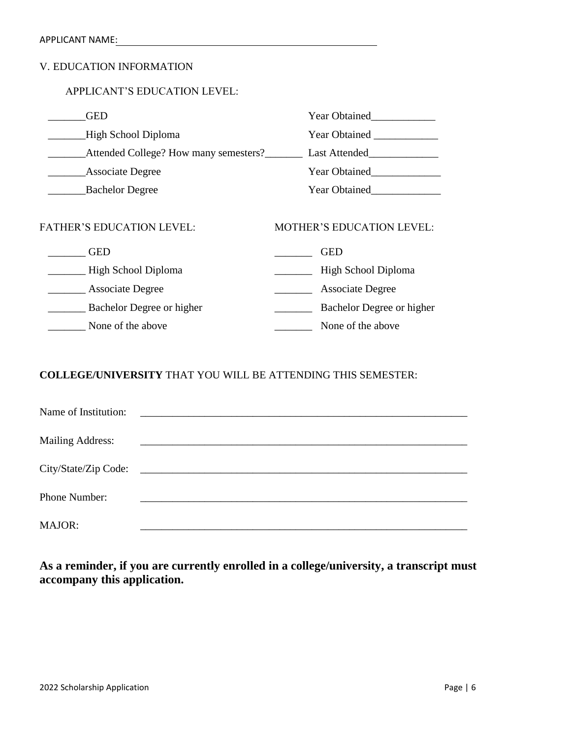### V. EDUCATION INFORMATION

#### APPLICANT'S EDUCATION LEVEL:

| GED                                   | <b>Year Obtained</b>             |
|---------------------------------------|----------------------------------|
| High School Diploma                   | <b>Year Obtained</b>             |
| Attended College? How many semesters? | Last Attended                    |
| <b>Associate Degree</b>               | <b>Year Obtained</b>             |
| <b>Bachelor Degree</b>                | Year Obtained                    |
| <b>FATHER'S EDUCATION LEVEL:</b>      | <b>MOTHER'S EDUCATION LEVEL:</b> |
| <b>GED</b>                            | <b>GED</b>                       |
| High School Diploma                   | High School Diploma              |
| Associate Degree                      | <b>Associate Degree</b>          |
| Bachelor Degree or higher             | Bachelor Degree or higher        |

\_\_\_\_\_\_\_ None of the above \_\_\_\_\_\_\_ None of the above

### **COLLEGE/UNIVERSITY** THAT YOU WILL BE ATTENDING THIS SEMESTER:

| Name of Institution:    |                                                                                                                      |
|-------------------------|----------------------------------------------------------------------------------------------------------------------|
| <b>Mailing Address:</b> |                                                                                                                      |
| City/State/Zip Code:    | <u> 1988 - Jan Barbara, margaret e popularista e popularista e popularista e popularista e popularista e popular</u> |
| Phone Number:           |                                                                                                                      |
| <b>MAJOR:</b>           |                                                                                                                      |

**As a reminder, if you are currently enrolled in a college/university, a transcript must accompany this application.**